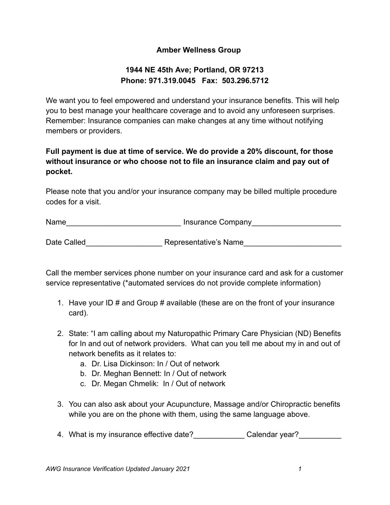## **Amber Wellness Group**

## **1944 NE 45th Ave; Portland, OR 97213 Phone: 971.319.0045 Fax: 503.296.5712**

We want you to feel empowered and understand your insurance benefits. This will help you to best manage your healthcare coverage and to avoid any unforeseen surprises. Remember: Insurance companies can make changes at any time without notifying members or providers.

## **Full payment is due at time of service. We do provide a 20% discount, for those without insurance or who choose not to file an insurance claim and pay out of pocket.**

Please note that you and/or your insurance company may be billed multiple procedure codes for a visit.

Name\_\_\_\_\_\_\_\_\_\_\_\_\_\_\_\_\_\_\_\_\_\_\_\_\_\_\_ Insurance Company\_\_\_\_\_\_\_\_\_\_\_\_\_\_\_\_\_\_\_\_\_

Date Called The Representative's Name

Call the member services phone number on your insurance card and ask for a customer service representative (\*automated services do not provide complete information)

- 1. Have your ID # and Group # available (these are on the front of your insurance card).
- 2. State: "I am calling about my Naturopathic Primary Care Physician (ND) Benefits for In and out of network providers. What can you tell me about my in and out of network benefits as it relates to:
	- a. Dr. Lisa Dickinson: In / Out of network
	- b. Dr. Meghan Bennett: In / Out of network
	- c. Dr. Megan Chmelik: In / Out of network
- 3. You can also ask about your Acupuncture, Massage and/or Chiropractic benefits while you are on the phone with them, using the same language above.
- 4. What is my insurance effective date? Calendar year?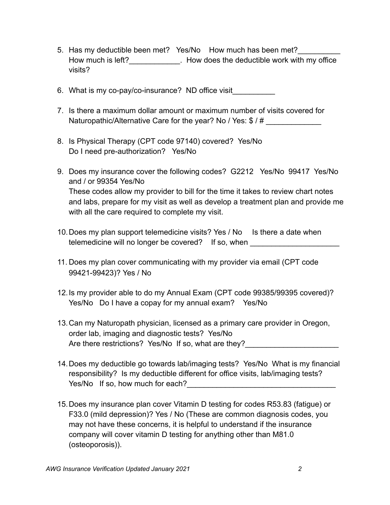- 5. Has my deductible been met? Yes/No How much has been met? How much is left? How does the deductible work with my office visits?
- 6. What is my co-pay/co-insurance? ND office visit\_\_\_\_\_\_\_\_\_\_
- 7. Is there a maximum dollar amount or maximum number of visits covered for Naturopathic/Alternative Care for the year? No / Yes: \$ / #
- 8. Is Physical Therapy (CPT code 97140) covered? Yes/No Do I need pre-authorization? Yes/No
- 9. Does my insurance cover the following codes? G2212 Yes/No 99417 Yes/No and / or 99354 Yes/No These codes allow my provider to bill for the time it takes to review chart notes and labs, prepare for my visit as well as develop a treatment plan and provide me with all the care required to complete my visit.
- 10. Does my plan support telemedicine visits? Yes / No Is there a date when telemedicine will no longer be covered? If so, when
- 11. Does my plan cover communicating with my provider via email (CPT code 99421-99423)? Yes / No
- 12.Is my provider able to do my Annual Exam (CPT code 99385/99395 covered)? Yes/No Do I have a copay for my annual exam? Yes/No
- 13.Can my Naturopath physician, licensed as a primary care provider in Oregon, order lab, imaging and diagnostic tests? Yes/No Are there restrictions? Yes/No If so, what are they?
- 14.Does my deductible go towards lab/imaging tests? Yes/No What is my financial responsibility? Is my deductible different for office visits, lab/imaging tests? Yes/No If so, how much for each?
- 15.Does my insurance plan cover Vitamin D testing for codes R53.83 (fatigue) or F33.0 (mild depression)? Yes / No (These are common diagnosis codes, you may not have these concerns, it is helpful to understand if the insurance company will cover vitamin D testing for anything other than M81.0 (osteoporosis)).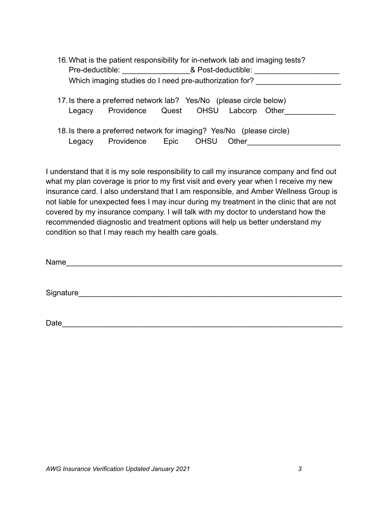|                                                        | 16. What is the patient responsibility for in-network lab and imaging tests?                              |      |             |       |  |  |  |  |
|--------------------------------------------------------|-----------------------------------------------------------------------------------------------------------|------|-------------|-------|--|--|--|--|
| Pre-deductible: 8 Post-deductible:                     |                                                                                                           |      |             |       |  |  |  |  |
| Which imaging studies do I need pre-authorization for? |                                                                                                           |      |             |       |  |  |  |  |
| Legacy                                                 | 17. Is there a preferred network lab? Yes/No (please circle below)<br>Providence Quest OHSU Labcorp Other |      |             |       |  |  |  |  |
| Legacy                                                 | 18. Is there a preferred network for imaging? Yes/No (please circle)<br>Providence                        | Epic | <b>OHSU</b> | Other |  |  |  |  |

I understand that it is my sole responsibility to call my insurance company and find out what my plan coverage is prior to my first visit and every year when I receive my new insurance card. I also understand that I am responsible, and Amber Wellness Group is not liable for unexpected fees I may incur during my treatment in the clinic that are not covered by my insurance company. I will talk with my doctor to understand how the recommended diagnostic and treatment options will help us better understand my condition so that I may reach my health care goals.

| Name |  |  |  |
|------|--|--|--|
|      |  |  |  |

Signature

Date\_\_\_\_\_\_\_\_\_\_\_\_\_\_\_\_\_\_\_\_\_\_\_\_\_\_\_\_\_\_\_\_\_\_\_\_\_\_\_\_\_\_\_\_\_\_\_\_\_\_\_\_\_\_\_\_\_\_\_\_\_\_\_\_\_\_